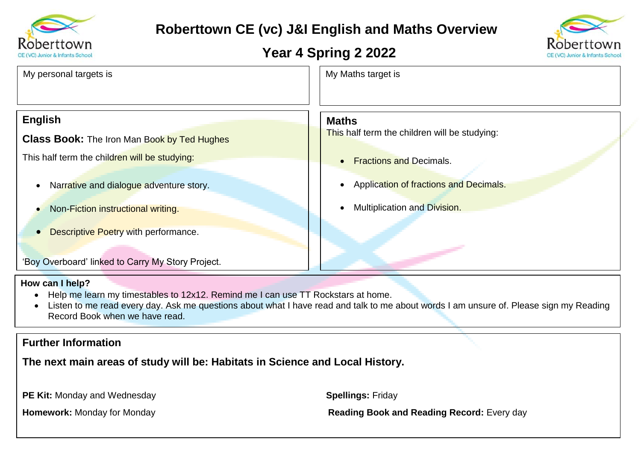

# **Roberttown CE (vc) J&I English and Maths Overview**

## **Year 4 Spring 2 2022**



| My personal targets is                             | My Maths target is                                  |  |
|----------------------------------------------------|-----------------------------------------------------|--|
| <b>English</b>                                     | <b>Maths</b>                                        |  |
| <b>Class Book:</b> The Iron Man Book by Ted Hughes | This half term the children will be studying:       |  |
| This half term the children will be studying:      | <b>Fractions and Decimals.</b><br>$\bullet$         |  |
| Narrative and dialogue adventure story.            | Application of fractions and Decimals.<br>$\bullet$ |  |
| Non-Fiction instructional writing.                 | Multiplication and Division.                        |  |

• Descriptive Poetry with performance.

'Boy Overboard' linked to Carry My Story Project.

#### **How can I help?**

- Help me learn my timestables to 12x12. Remind me I can use TT Rockstars at home.
- Listen to me read every day. Ask me questions about what I have read and talk to me about words I am unsure of. Please sign my Reading Record Book when we have read.

### **Further Information**

**The next main areas of study will be: Habitats in Science and Local History.**

**PE Kit:** Monday and Wednesday **Spellings:** Friday

**Homework:** Monday for Monday **Reading Book and Reading Record:** Every day